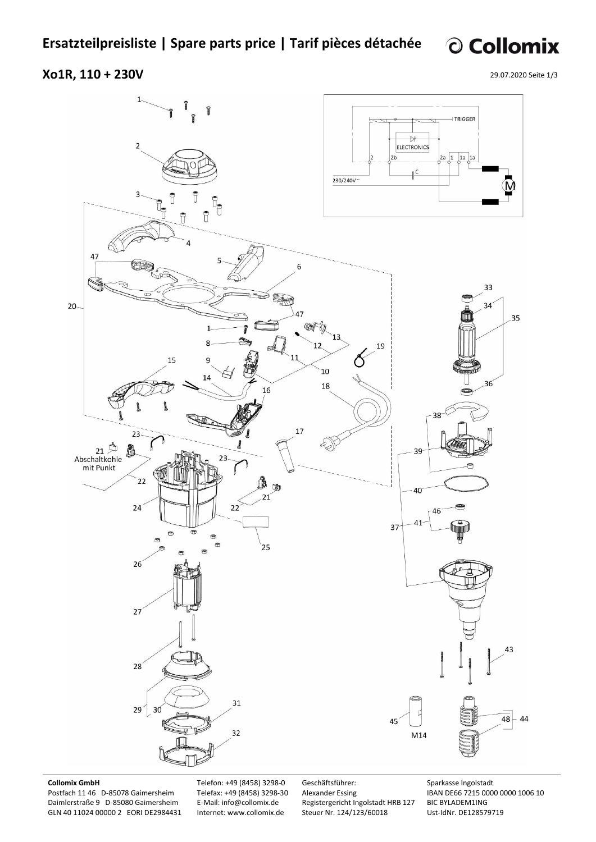© Collomix

## **Xo1R, 110 + 230V**

29.07.2020 Seite 1/3



### **Collomix GmbH**

Postfach 11 46 D-85078 Gaimersheim Daimlerstraße 9 D-85080 Gaimersheim GLN 40 11024 00000 2 EORI DE2984431 Telefon: +49 (8458) 3298-0 Telefax: +49 (8458) 3298-30 E-Mail: info@collomix.de Internet: www.collomix.de

Geschäftsführer: Alexander Essing Registergericht Ingolstadt HRB 127 Steuer Nr. 124/123/60018

Sparkasse Ingolstadt IBAN DE66 7215 0000 0000 1006 10 BIC BYLADEM1ING Ust-IdNr. DE128579719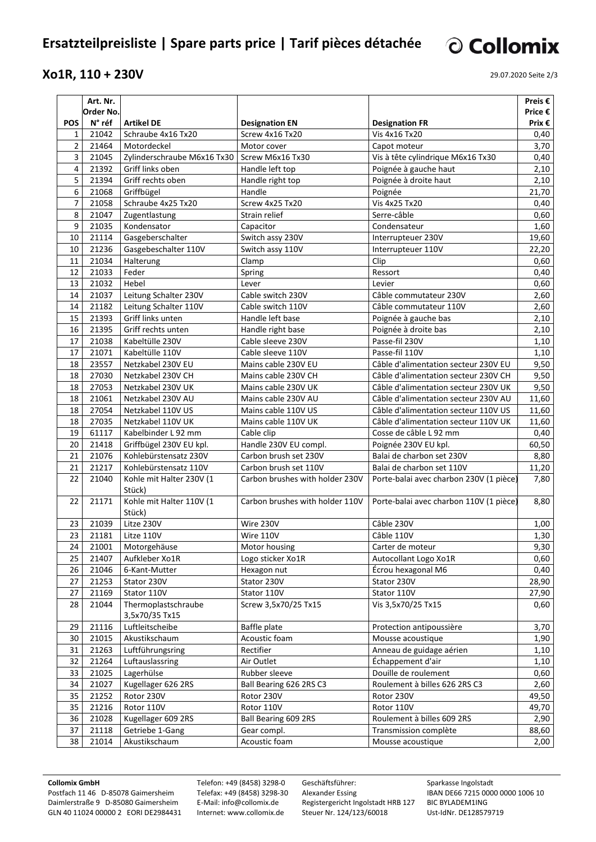# **Ersatzteilpreisliste | Spare parts price | Tarif pièces détachée**

## **Xo1R, 110 + 230V**

29.07.2020 Seite 2/3

© Collomix

|                | Art. Nr.  |                                                |                                 |                                         | Preis $\epsilon$ |
|----------------|-----------|------------------------------------------------|---------------------------------|-----------------------------------------|------------------|
|                | Order No. |                                                |                                 |                                         | Price €          |
| <b>POS</b>     | N° réf    | <b>Artikel DE</b>                              | <b>Designation EN</b>           | <b>Designation FR</b>                   | Prix $\epsilon$  |
| 1              | 21042     | Schraube 4x16 Tx20                             | Screw 4x16 Tx20                 | Vis 4x16 Tx20                           | 0,40             |
| $\overline{2}$ | 21464     | Motordeckel                                    | Motor cover                     | Capot moteur                            | 3,70             |
| 3              | 21045     | Zylinderschraube M6x16 Tx30   Screw M6x16 Tx30 |                                 | Vis à tête cylindrique M6x16 Tx30       | 0,40             |
| 4              | 21392     | Griff links oben                               | Handle left top                 | Poignée à gauche haut                   | 2,10             |
| 5              | 21394     | Griff rechts oben                              | Handle right top                | Poignée à droite haut                   | 2,10             |
| 6              | 21068     | Griffbügel                                     | Handle                          | Poignée                                 | 21,70            |
| $\overline{7}$ | 21058     | Schraube 4x25 Tx20                             | Screw 4x25 Tx20                 | Vis 4x25 Tx20                           | 0,40             |
| 8              | 21047     | Zugentlastung                                  | Strain relief                   | Serre-câble                             | 0,60             |
| 9              | 21035     | Kondensator                                    | Capacitor                       | Condensateur                            | 1,60             |
| 10             | 21114     | Gasgeberschalter                               | Switch assy 230V                | Interrupteuer 230V                      | 19,60            |
| 10             | 21236     | Gasgebeschalter 110V                           | Switch assy 110V                | Interrupteuer 110V                      | 22,20            |
| 11             | 21034     | Halterung                                      | Clamp                           | Clip                                    | 0,60             |
| 12             | 21033     | Feder                                          | Spring                          | Ressort                                 | 0,40             |
| 13             | 21032     | Hebel                                          | Lever                           | Levier                                  | 0,60             |
| 14             | 21037     | Leitung Schalter 230V                          | Cable switch 230V               | Câble commutateur 230V                  | 2,60             |
| 14             | 21182     | Leitung Schalter 110V                          | Cable switch 110V               | Câble commutateur 110V                  | 2,60             |
| 15             | 21393     | Griff links unten                              | Handle left base                | Poignée à gauche bas                    | 2,10             |
| 16             | 21395     | Griff rechts unten                             | Handle right base               | Poignée à droite bas                    | 2,10             |
| 17             | 21038     | Kabeltülle 230V                                | Cable sleeve 230V               | Passe-fil 230V                          | 1,10             |
| 17             | 21071     | Kabeltülle 110V                                | Cable sleeve 110V               | Passe-fil 110V                          | 1,10             |
| 18             | 23557     | Netzkabel 230V EU                              | Mains cable 230V EU             | Câble d'alimentation secteur 230V EU    | 9,50             |
| 18             | 27030     | Netzkabel 230V CH                              | Mains cable 230V CH             | Câble d'alimentation secteur 230V CH    | 9,50             |
| 18             | 27053     | Netzkabel 230V UK                              | Mains cable 230V UK             | Câble d'alimentation secteur 230V UK    | 9,50             |
| 18             | 21061     | Netzkabel 230V AU                              | Mains cable 230V AU             | Câble d'alimentation secteur 230V AU    | 11,60            |
| 18             | 27054     | Netzkabel 110V US                              | Mains cable 110V US             | Câble d'alimentation secteur 110V US    | 11,60            |
| 18             | 27035     | Netzkabel 110V UK                              | Mains cable 110V UK             | Câble d'alimentation secteur 110V UK    | 11,60            |
| 19             | 61117     | Kabelbinder L 92 mm                            | Cable clip                      | Cosse de câble L 92 mm                  | 0,40             |
| 20             | 21418     | Griffbügel 230V EU kpl.                        | Handle 230V EU compl.           | Poignée 230V EU kpl.                    | 60,50            |
| 21             | 21076     | Kohlebürstensatz 230V                          | Carbon brush set 230V           | Balai de charbon set 230V               | 8,80             |
| 21             | 21217     | Kohlebürstensatz 110V                          | Carbon brush set 110V           | Balai de charbon set 110V               | 11,20            |
| 22             | 21040     | Kohle mit Halter 230V (1                       | Carbon brushes with holder 230V | Porte-balai avec charbon 230V (1 pièce) | 7,80             |
|                |           | Stück)                                         |                                 |                                         |                  |
| 22             | 21171     | Kohle mit Halter 110V (1                       | Carbon brushes with holder 110V | Porte-balai avec charbon 110V (1 pièce) | 8,80             |
|                |           | Stück)                                         |                                 |                                         |                  |
| 23             | 21039     | Litze 230V                                     | Wire 230V                       | Câble 230V                              | 1,00             |
| 23             | 21181     | Litze 110V                                     | Wire 110V                       | Câble 110V                              | 1,30             |
| 24             | 21001     | Motorgehäuse                                   | Motor housing                   | Carter de moteur                        | 9,30             |
| 25             | 21407     | Aufkleber Xo1R                                 | Logo sticker Xo1R               | Autocollant Logo Xo1R                   | 0,60             |
| 26             | 21046     | 6-Kant-Mutter                                  | Hexagon nut                     | Écrou hexagonal M6                      | 0,40             |
| 27             | 21253     | Stator 230V                                    | Stator 230V                     | Stator 230V                             | 28,90            |
| 27             | 21169     | Stator 110V                                    | Stator 110V                     | Stator 110V                             | 27,90            |
| 28             | 21044     | Thermoplastschraube                            | Screw 3,5x70/25 Tx15            | Vis 3,5x70/25 Tx15                      | 0,60             |
|                |           | 3,5x70/35 Tx15                                 |                                 |                                         |                  |
| 29             | 21116     | Luftleitscheibe                                | Baffle plate                    | Protection antipoussière                | 3,70             |
| 30             | 21015     | Akustikschaum                                  | Acoustic foam                   | Mousse acoustique                       | 1,90             |
| 31             | 21263     | Luftführungsring                               | Rectifier                       | Anneau de guidage aérien                | 1,10             |
| 32             | 21264     | Luftauslassring                                | Air Outlet                      | Échappement d'air                       | 1,10             |
| 33             | 21025     | Lagerhülse                                     | Rubber sleeve                   | Douille de roulement                    | 0,60             |
| 34             | 21027     | Kugellager 626 2RS                             | Ball Bearing 626 2RS C3         | Roulement à billes 626 2RS C3           | 2,60             |
| 35             | 21252     | Rotor 230V                                     | Rotor 230V                      | Rotor 230V                              | 49,50            |
| 35             | 21216     | Rotor 110V                                     | Rotor 110V                      | Rotor 110V                              | 49,70            |
| 36             | 21028     | Kugellager 609 2RS                             | Ball Bearing 609 2RS            | Roulement à billes 609 2RS              |                  |
| 37             | 21118     | Getriebe 1-Gang                                | Gear compl.                     | Transmission complète                   | 2,90             |
|                |           |                                                |                                 |                                         | 88,60            |
| 38             | 21014     | Akustikschaum                                  | Acoustic foam                   | Mousse acoustique                       | 2,00             |

### **Collomix GmbH**

Postfach 11 46 D-85078 Gaimersheim Daimlerstraße 9 D-85080 Gaimersheim GLN 40 11024 00000 2 EORI DE2984431 Telefon: +49 (8458) 3298-0 Telefax: +49 (8458) 3298-30 E-Mail: info@collomix.de Internet: www.collomix.de

Geschäftsführer: Alexander Essing Registergericht Ingolstadt HRB 127 Steuer Nr. 124/123/60018

Sparkasse Ingolstadt IBAN DE66 7215 0000 0000 1006 10 BIC BYLADEM1ING Ust-IdNr. DE128579719